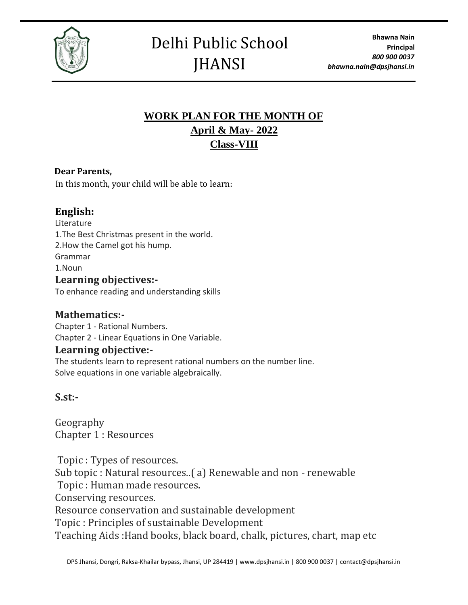

## Delhi Public School **JHANSI**

### **WORK PLAN FOR THE MONTH OF April & May- 2022 Class-VIII**

### **Dear Parents,**

In this month, your child will be able to learn:

### **English:**

Literature 1.The Best Christmas present in the world. 2.How the Camel got his hump. Grammar 1.Noun **Learning objectives:-** To enhance reading and understanding skills

### **Mathematics:-**

Chapter 1 - Rational Numbers. Chapter 2 - Linear Equations in One Variable.

### **Learning objective:-**

The students learn to represent rational numbers on the number line. Solve equations in one variable algebraically.

### **S.st:-**

Geography Chapter 1 : Resources

Topic : Types of resources. Sub topic : Natural resources..( a) Renewable and non - renewable Topic : Human made resources. Conserving resources. Resource conservation and sustainable development Topic : Principles of sustainable Development Teaching Aids :Hand books, black board, chalk, pictures, chart, map etc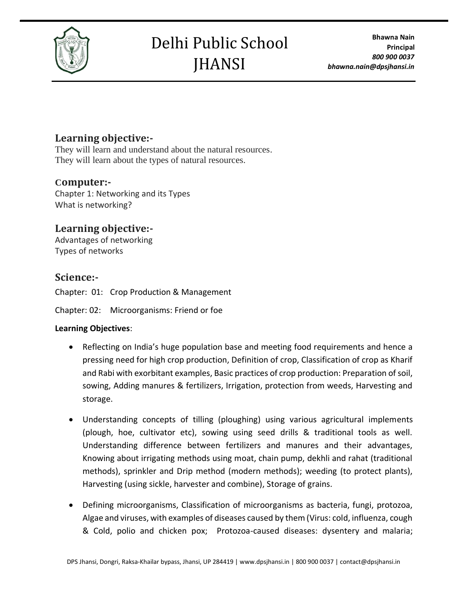

# Delhi Public School **JHANSI**

### **Learning objective:-**

They will learn and understand about the natural resources. They will learn about the types of natural resources.

### **Computer:-**

Chapter 1: Networking and its Types What is networking?

### **Learning objective:-**

Advantages of networking Types of networks

### **Science:-**

Chapter: 01: Crop Production & Management

Chapter: 02: Microorganisms: Friend or foe

#### **Learning Objectives**:

- Reflecting on India's huge population base and meeting food requirements and hence a pressing need for high crop production, Definition of crop, Classification of crop as Kharif and Rabi with exorbitant examples, Basic practices of crop production: Preparation of soil, sowing, Adding manures & fertilizers, Irrigation, protection from weeds, Harvesting and storage.
- Understanding concepts of tilling (ploughing) using various agricultural implements (plough, hoe, cultivator etc), sowing using seed drills & traditional tools as well. Understanding difference between fertilizers and manures and their advantages, Knowing about irrigating methods using moat, chain pump, dekhli and rahat (traditional methods), sprinkler and Drip method (modern methods); weeding (to protect plants), Harvesting (using sickle, harvester and combine), Storage of grains.
- Defining microorganisms, Classification of microorganisms as bacteria, fungi, protozoa, Algae and viruses, with examples of diseases caused by them (Virus: cold, influenza, cough & Cold, polio and chicken pox; Protozoa-caused diseases: dysentery and malaria;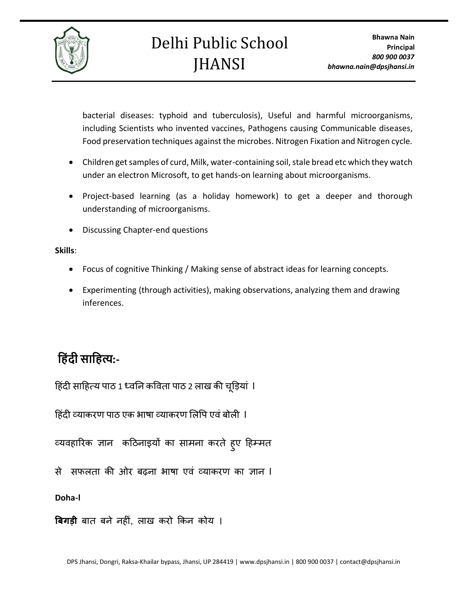

bacterial diseases: typhoid and tuberculosis), Useful and harmful microorganisms, including Scientists who invented vaccines, Pathogens causing Communicable diseases, Food preservation techniques against the microbes. Nitrogen Fixation and Nitrogen cycle.

- Children get samples of curd, Milk, water-containing soil, stale bread etc which they watch under an electron Microsoft, to get hands-on learning about microorganisms.
- Project-based learning (as a holiday homework) to get a deeper and thorough understanding of microorganisms.
- Discussing Chapter-end questions

**Skills**:

- Focus of cognitive Thinking / Making sense of abstract ideas for learning concepts.
- Experimenting (through activities), making observations, analyzing them and drawing inferences.

### **ह िंदी साह त्य:-**

हिंदी साहित्य पाठ 1 ध्वनि कविता पाठ 2 लाख की चूड़ियां ।

```
हिंदी व्याकरण पाठ एक भाषा व्याकरण लिपि एवं बोली  l
```
व्यवहारिक ज्ञान कठिनाइयों का सामना करते ह्ए हिम्मत

से सफलता की ओर बढ़ना भाषा एवं व्याकरण का ज्ञान l

**Doha-l**

**बिगड़ी** बात बने नहीं, लाख करो किन कोय ।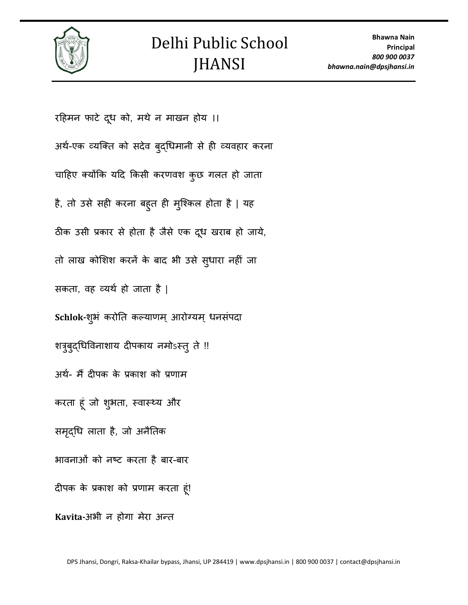

रहिमन फाटे दूध को, मथे न माखन होय ।। अर्थ-एक व्यक्ति को सदेव बुद्धिमानी से ही व्यवहार करना चाहिए क्योंकि यदि किसी करणवश कुछ गलत हो जाता है, तो उसे सही करना बह्त ही मुश्किल होता है | यह ठीक उसी प्रकार से होता है जैसे एक दूध खराब हो जाये, तो लाख कोशिश करनें के बाद भी उसे सुधारा नहीं जा सकता, वह व्यर्थ हो जाता है | Schlok-शुभं करोति कल्याणम् आरोग्यम् धनसंपदा शत्रुबुद्धिविनाशाय दीपकाय नमोऽस्तु ते !! अथथ- मैं दीपक के प्रकाश को प्रणाम करता हूं जो शुभता, स्वास्थ्य और समृद्धि लाता है, जो अनैतिक भावनाओं को नष्ट करता है बार-बार दीपक के प्रकाश को प्रणाम करता ूिं! Kavita-अभी न होगा मेरा अन्त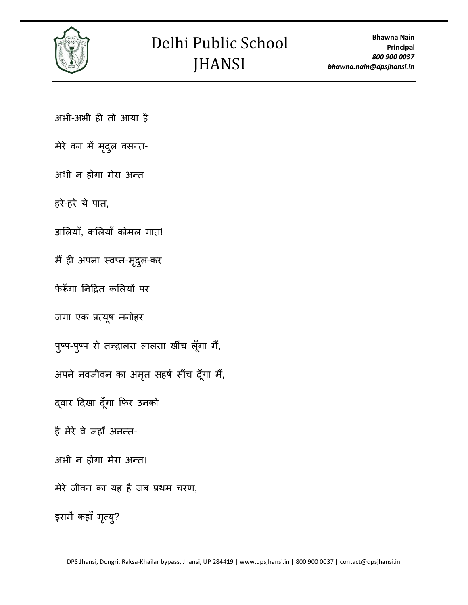

अभी-अभी ही तो आया है

मेरे वन में मृदुल वसन्त-

अभी न होगा मेरा अन्त

हरे-हरे ये पात,

डालियाँ, कलियाँ कोमल गात!

मैं ही अपना स्वप्न-मृदुल-कर

फेरूँगा निद्रित कलियों पर

जगा एक प्रत्यूष मनोहर

पुष्प-पुष्प से तन्द्रालस लालसा खींच लूँगा मैं,

अपने नवजीवन का अमृत सहर्ष सींच दूँगा मैं,

दवार दिखा दूँगा फिर उनको

है मेरे वे जहाँ अनन्त-

अभी न होगा मेरा अन्त।

मेरे जीवन का यह है जब प्रथम चरण,

इसमें कहाँ मृत्यु?